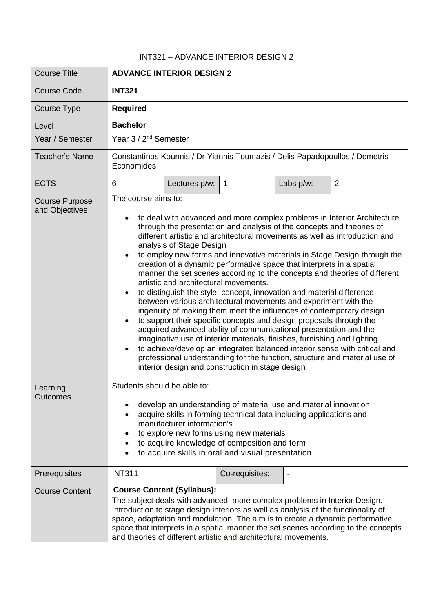## INT321 – ADVANCE INTERIOR DESIGN 2

| <b>Course Title</b>                     | <b>ADVANCE INTERIOR DESIGN 2</b>                                                                                                                                                                                                                                                                                                                                                                                                                                                                                                                                                                                                                                                                                                                                                                                                                                                                                                                                                                                                                                                                                                                                                                                         |               |                |                          |                |
|-----------------------------------------|--------------------------------------------------------------------------------------------------------------------------------------------------------------------------------------------------------------------------------------------------------------------------------------------------------------------------------------------------------------------------------------------------------------------------------------------------------------------------------------------------------------------------------------------------------------------------------------------------------------------------------------------------------------------------------------------------------------------------------------------------------------------------------------------------------------------------------------------------------------------------------------------------------------------------------------------------------------------------------------------------------------------------------------------------------------------------------------------------------------------------------------------------------------------------------------------------------------------------|---------------|----------------|--------------------------|----------------|
| <b>Course Code</b>                      | <b>INT321</b>                                                                                                                                                                                                                                                                                                                                                                                                                                                                                                                                                                                                                                                                                                                                                                                                                                                                                                                                                                                                                                                                                                                                                                                                            |               |                |                          |                |
| Course Type                             | <b>Required</b>                                                                                                                                                                                                                                                                                                                                                                                                                                                                                                                                                                                                                                                                                                                                                                                                                                                                                                                                                                                                                                                                                                                                                                                                          |               |                |                          |                |
| Level                                   | <b>Bachelor</b>                                                                                                                                                                                                                                                                                                                                                                                                                                                                                                                                                                                                                                                                                                                                                                                                                                                                                                                                                                                                                                                                                                                                                                                                          |               |                |                          |                |
| Year / Semester                         | Year 3 / 2 <sup>nd</sup> Semester                                                                                                                                                                                                                                                                                                                                                                                                                                                                                                                                                                                                                                                                                                                                                                                                                                                                                                                                                                                                                                                                                                                                                                                        |               |                |                          |                |
| <b>Teacher's Name</b>                   | Constantinos Kounnis / Dr Yiannis Toumazis / Delis Papadopoullos / Demetris<br>Economides                                                                                                                                                                                                                                                                                                                                                                                                                                                                                                                                                                                                                                                                                                                                                                                                                                                                                                                                                                                                                                                                                                                                |               |                |                          |                |
| <b>ECTS</b>                             | 6                                                                                                                                                                                                                                                                                                                                                                                                                                                                                                                                                                                                                                                                                                                                                                                                                                                                                                                                                                                                                                                                                                                                                                                                                        | Lectures p/w: | $\mathbf{1}$   | Labs p/w:                | $\overline{2}$ |
| <b>Course Purpose</b><br>and Objectives | The course aims to:<br>to deal with advanced and more complex problems in Interior Architecture<br>through the presentation and analysis of the concepts and theories of<br>different artistic and architectural movements as well as introduction and<br>analysis of Stage Design<br>to employ new forms and innovative materials in Stage Design through the<br>creation of a dynamic performative space that interprets in a spatial<br>manner the set scenes according to the concepts and theories of different<br>artistic and architectural movements.<br>to distinguish the style, concept, innovation and material difference<br>between various architectural movements and experiment with the<br>ingenuity of making them meet the influences of contemporary design<br>to support their specific concepts and design proposals through the<br>acquired advanced ability of communicational presentation and the<br>imaginative use of interior materials, finishes, furnishing and lighting<br>to achieve/develop an integrated balanced interior sense with critical and<br>professional understanding for the function, structure and material use of<br>interior design and construction in stage design |               |                |                          |                |
| Learning<br>Outcomes                    | Students should be able to:<br>develop an understanding of material use and material innovation<br>acquire skills in forming technical data including applications and<br>manufacturer information's<br>to explore new forms using new materials<br>to acquire knowledge of composition and form<br>to acquire skills in oral and visual presentation                                                                                                                                                                                                                                                                                                                                                                                                                                                                                                                                                                                                                                                                                                                                                                                                                                                                    |               |                |                          |                |
| Prerequisites                           | <b>INT311</b>                                                                                                                                                                                                                                                                                                                                                                                                                                                                                                                                                                                                                                                                                                                                                                                                                                                                                                                                                                                                                                                                                                                                                                                                            |               | Co-requisites: | $\overline{\phantom{a}}$ |                |
| <b>Course Content</b>                   | <b>Course Content (Syllabus):</b><br>The subject deals with advanced, more complex problems in Interior Design.<br>Introduction to stage design interiors as well as analysis of the functionality of<br>space, adaptation and modulation. The aim is to create a dynamic performative<br>space that interprets in a spatial manner the set scenes according to the concepts<br>and theories of different artistic and architectural movements.                                                                                                                                                                                                                                                                                                                                                                                                                                                                                                                                                                                                                                                                                                                                                                          |               |                |                          |                |